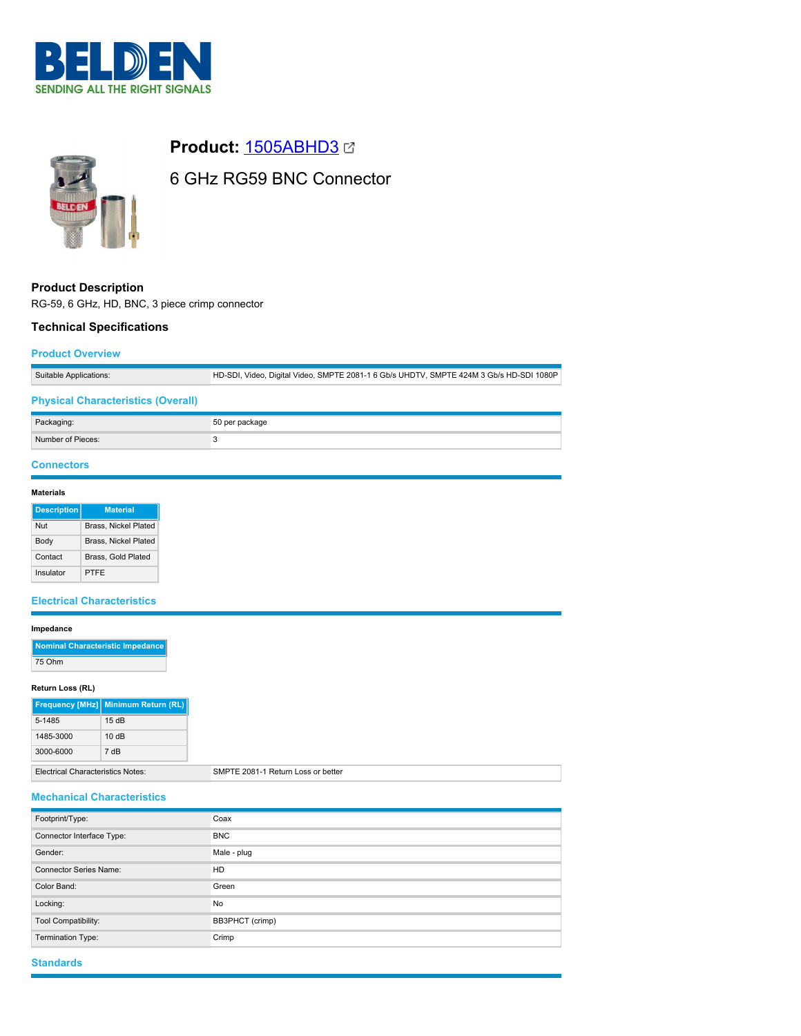



## **Product:** [1505ABHD3](https://catalog.belden.com/index.cfm?event=pd&p=PF_1505ABHD3&tab=downloads)

# 6 GHz RG59 BNC Connector

## **Product Description** RG-59, 6 GHz, HD, BNC, 3 piece crimp connector

## **Technical Specifications**

## **Product Overview**

Suitable Applications: HD-SDI, Video, Digital Video, SMPTE 2081-1 6 Gb/s UHDTV, SMPTE 424M 3 Gb/s HD-SDI 1080P

## **Physical Characteristics (Overall)**

| Packaging:        | 50 per package |
|-------------------|----------------|
| Number of Pieces: |                |

## **Connectors**

#### **Materials**

| <b>Description</b> | <b>Material</b>             |
|--------------------|-----------------------------|
| Nut                | <b>Brass, Nickel Plated</b> |
| Body               | <b>Brass, Nickel Plated</b> |
| Contact            | Brass, Gold Plated          |
| Insulator          | PTFF                        |

## **Electrical Characteristics**

#### **Impedance**

|        | Nominal Characteristic Impedance |
|--------|----------------------------------|
| 75 Ohm |                                  |

#### **Return Loss (RL)**

|                                   | Frequency [MHz] Minimum Return (RL) |
|-----------------------------------|-------------------------------------|
| 5-1485                            | 15dB                                |
| 1485-3000                         | 10dB                                |
| 3000-6000                         | 7 <sub>dB</sub>                     |
| Electrical Characteristics Natos: |                                     |

al Characteristics Notes: SMPTE 2081-1 Return Loss or better

## **Mechanical Characteristics**

| Footprint/Type:               | Coax            |
|-------------------------------|-----------------|
| Connector Interface Type:     | <b>BNC</b>      |
| Gender:                       | Male - plug     |
| <b>Connector Series Name:</b> | HD              |
| Color Band:                   | Green           |
| Locking:                      | No              |
| Tool Compatibility:           | BB3PHCT (crimp) |
| Termination Type:             | Crimp           |

## **Standards**